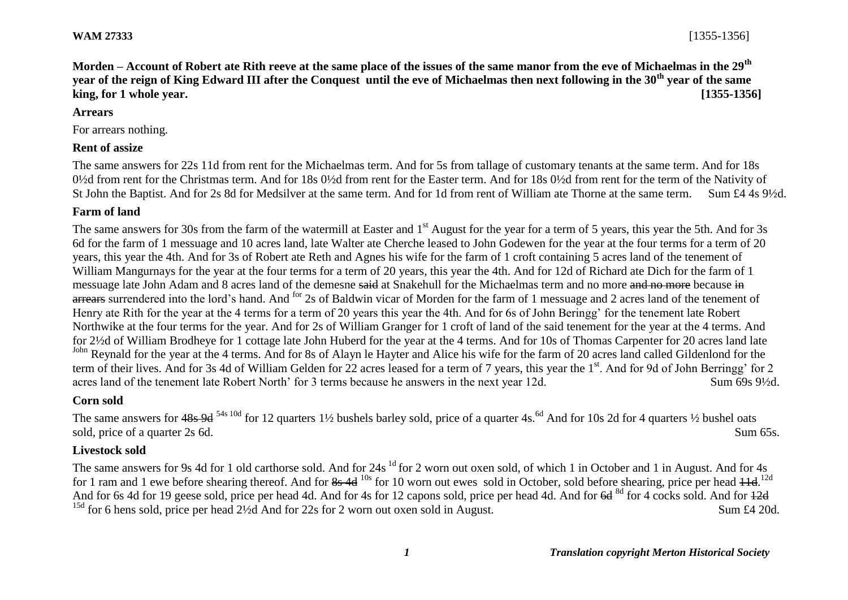**Morden – Account of Robert ate Rith reeve at the same place of the issues of the same manor from the eve of Michaelmas in the 29th year of the reign of King Edward III after the Conquest until the eve of Michaelmas then next following in the 30th year of the same king, for 1 whole year. [1355-1356]**

#### **Arrears**

For arrears nothing.

### **Rent of assize**

The same answers for 22s 11d from rent for the Michaelmas term. And for 5s from tallage of customary tenants at the same term. And for 18s 0½d from rent for the Christmas term. And for 18s 0½d from rent for the Easter term. And for 18s 0½d from rent for the term of the Nativity of St John the Baptist. And for 2s 8d for Medsilver at the same term. And for 1d from rent of William ate Thorne at the same term. Sum £4 4s 9½d.

## **Farm of land**

The same answers for 30s from the farm of the watermill at Easter and 1<sup>st</sup> August for the year for a term of 5 years, this year the 5th. And for 3s 6d for the farm of 1 messuage and 10 acres land, late Walter ate Cherche leased to John Godewen for the year at the four terms for a term of 20 years, this year the 4th. And for 3s of Robert ate Reth and Agnes his wife for the farm of 1 croft containing 5 acres land of the tenement of William Mangurnays for the year at the four terms for a term of 20 years, this year the 4th. And for 12d of Richard ate Dich for the farm of 1 messuage late John Adam and 8 acres land of the demesne said at Snakehull for the Michaelmas term and no more and no more because in arrears surrendered into the lord's hand. And <sup>for</sup> 2s of Baldwin vicar of Morden for the farm of 1 messuage and 2 acres land of the tenement of Henry ate Rith for the year at the 4 terms for a term of 20 years this year the 4th. And for 6s of John Beringg' for the tenement late Robert Northwike at the four terms for the year. And for 2s of William Granger for 1 croft of land of the said tenement for the year at the 4 terms. And for 2½d of William Brodheye for 1 cottage late John Huberd for the year at the 4 terms. And for 10s of Thomas Carpenter for 20 acres land late John Reynald for the year at the 4 terms. And for 8s of Alayn le Hayter and Alice his wife for the farm of 20 acres land called Gildenlond for the term of their lives. And for 3s 4d of William Gelden for 22 acres leased for a term of 7 years, this year the 1<sup>st</sup>. And for 9d of John Berringg' for 2 acres land of the tenement late Robert North' for 3 terms because he answers in the next year 12d. Sum 69s 9½d.

### **Corn sold**

The same answers for  $48s$  9d <sup>54s 10d</sup> for 12 quarters 1<sup>1</sup>/<sub>2</sub> bushels barley sold, price of a quarter 4s.<sup>6d</sup> And for 10s 2d for 4 quarters <sup>1</sup>/<sub>2</sub> bushel oats sold, price of a quarter 2s 6d. Sum 65s.

### **Livestock sold**

The same answers for 9s 4d for 1 old carthorse sold. And for 24s <sup>1d</sup> for 2 worn out oxen sold, of which 1 in October and 1 in August. And for 4s for 1 ram and 1 ewe before shearing thereof. And for 8s 4d <sup>10s</sup> for 10 worn out ewes sold in October, sold before shearing, price per head 41d.<sup>12d</sup> And for 6s 4d for 19 geese sold, price per head 4d. And for 4s for 12 capons sold, price per head 4d. And for  $6d^{8d}$  for 4 cocks sold. And for  $12d$ <sup>15d</sup> for 6 hens sold, price per head 2<sup>1</sup>/<sub>2d</sub> And for 22s for 2 worn out oxen sold in August. Sum £4 20d.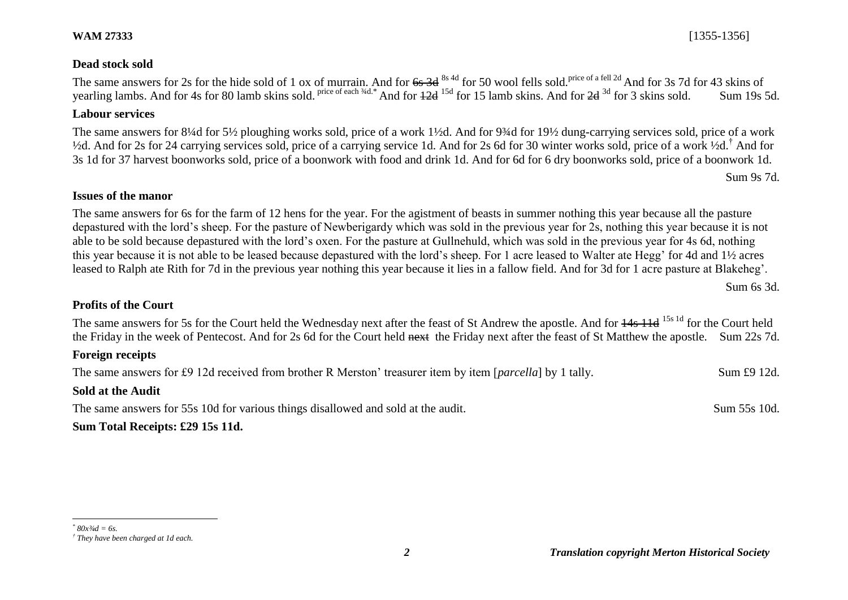### **Dead stock sold**

The same answers for 2s for the hide sold of 1 ox of murrain. And for  $6s$  3d <sup>8s 4d</sup> for 50 wool fells sold.<sup>price of a fell 2d</sup> And for 3s 7d for 43 skins of yearling lambs. And for 4s for 80 lamb skins sold. Price of each <sup>34d.\*</sup> And for 12d <sup>15d</sup> for 15 lamb skins. And for 2d <sup>3d</sup> for 3 skins sold. Sum 19s 5d.

#### **Labour services**

The same answers for 8¼d for 5½ ploughing works sold, price of a work 1½d. And for 9¾d for 19½ dung-carrying services sold, price of a work  $\frac{1}{2}$ d. And for 2s for 24 carrying services sold, price of a carrying service 1d. And for 2s 6d for 30 winter works sold, price of a work  $\frac{1}{2}d$ .<sup>†</sup> And for 3s 1d for 37 harvest boonworks sold, price of a boonwork with food and drink 1d. And for 6d for 6 dry boonworks sold, price of a boonwork 1d.

Sum 9s 7d.

#### **Issues of the manor**

The same answers for 6s for the farm of 12 hens for the year. For the agistment of beasts in summer nothing this year because all the pasture depastured with the lord's sheep. For the pasture of Newberigardy which was sold in the previous year for 2s, nothing this year because it is not able to be sold because depastured with the lord's oxen. For the pasture at Gullnehuld, which was sold in the previous year for 4s 6d, nothing this year because it is not able to be leased because depastured with the lord's sheep. For 1 acre leased to Walter ate Hegg' for 4d and 1½ acres leased to Ralph ate Rith for 7d in the previous year nothing this year because it lies in a fallow field. And for 3d for 1 acre pasture at Blakeheg'.

Sum 6s 3d.

#### **Profits of the Court**

The same answers for 5s for the Court held the Wednesday next after the feast of St Andrew the apostle. And for  $14s$  11d <sup>15s 1d</sup> for the Court held the Friday in the week of Pentecost. And for 2s 6d for the Court held next the Friday next after the feast of St Matthew the apostle. Sum 22s 7d.

#### **Foreign receipts**

The same answers for £9 12d received from brother R Merston' treasurer item by item [*parcella*] by 1 tally. Sum £9 12d.

#### **Sold at the Audit**

The same answers for 55s 10d for various things disallowed and sold at the audit. Sum 55s 10d.

#### **Sum Total Receipts: £29 15s 11d.**

*<sup>\*</sup> 80x¾d = 6s. † They have been charged at 1d each.*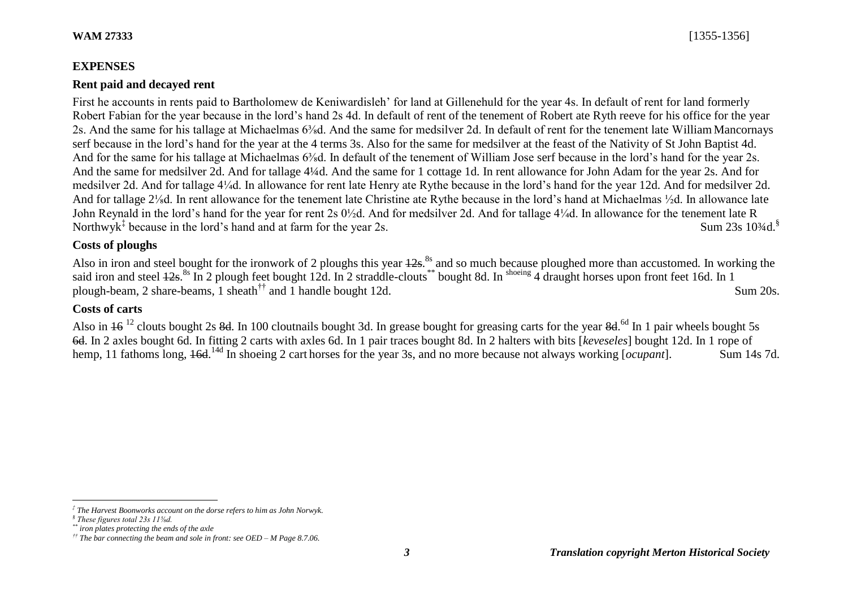## **EXPENSES**

## **Rent paid and decayed rent**

First he accounts in rents paid to Bartholomew de Keniwardisleh' for land at Gillenehuld for the year 4s. In default of rent for land formerly Robert Fabian for the year because in the lord's hand 2s 4d. In default of rent of the tenement of Robert ate Ryth reeve for his office for the year 2s. And the same for his tallage at Michaelmas 6⅜d. And the same for medsilver 2d. In default of rent for the tenement late William Mancornays serf because in the lord's hand for the year at the 4 terms 3s. Also for the same for medsilver at the feast of the Nativity of St John Baptist 4d. And for the same for his tallage at Michaelmas 6<sup>3</sup>/<sub>8</sub>d. In default of the tenement of William Jose serf because in the lord's hand for the year 2s. And the same for medsilver 2d. And for tallage 4¼d. And the same for 1 cottage 1d. In rent allowance for John Adam for the year 2s. And for medsilver 2d. And for tallage 4¼d. In allowance for rent late Henry ate Rythe because in the lord's hand for the year 12d. And for medsilver 2d. And for tallage 2⅛d. In rent allowance for the tenement late Christine ate Rythe because in the lord's hand at Michaelmas ½d. In allowance late John Reynald in the lord's hand for the year for rent 2s 0½d. And for medsilver 2d. And for tallage 4¼d. In allowance for the tenement late R Northwyk<sup>‡</sup> because in the lord's hand and at farm for the year 2s. Sum 23s 10<sup>3</sup>/4d.<sup>§</sup>

## **Costs of ploughs**

Also in iron and steel bought for the ironwork of 2 ploughs this year 12s. 8s and so much because ploughed more than accustomed*.* In working the said iron and steel  $12s$ .<sup>8s</sup> In 2 plough feet bought 12d. In 2 straddle-clouts<sup>\*\*</sup> bought 8d. In <sup>shoeing</sup> 4 draught horses upon front feet 16d. In 1 plough-beam, 2 share-beams, 1 sheath<sup>††</sup> and 1 handle bought 12d. Sum 20s.

# **Costs of carts**

Also in  $16^{12}$  clouts bought 2s 8d. In 100 cloutnails bought 3d. In grease bought for greasing carts for the year 8d.<sup>6d</sup> In 1 pair wheels bought 5s 6d. In 2 axles bought 6d. In fitting 2 carts with axles 6d. In 1 pair traces bought 8d. In 2 halters with bits [*keveseles*] bought 12d. In 1 rope of hemp, 11 fathoms long, <del>16d</del>.<sup>14d</sup> In shoeing 2 cart horses for the year 3s, and no more because not always working [*ocupant*]. Sum 14s 7d.

*<sup>‡</sup> The Harvest Boonworks account on the dorse refers to him as John Norwyk.*

*<sup>§</sup> These figures total 23s 11⅝d.*

*<sup>\*\*</sup> iron plates protecting the ends of the axle*

*<sup>††</sup> The bar connecting the beam and sole in front: see OED – M Page 8.7.06.*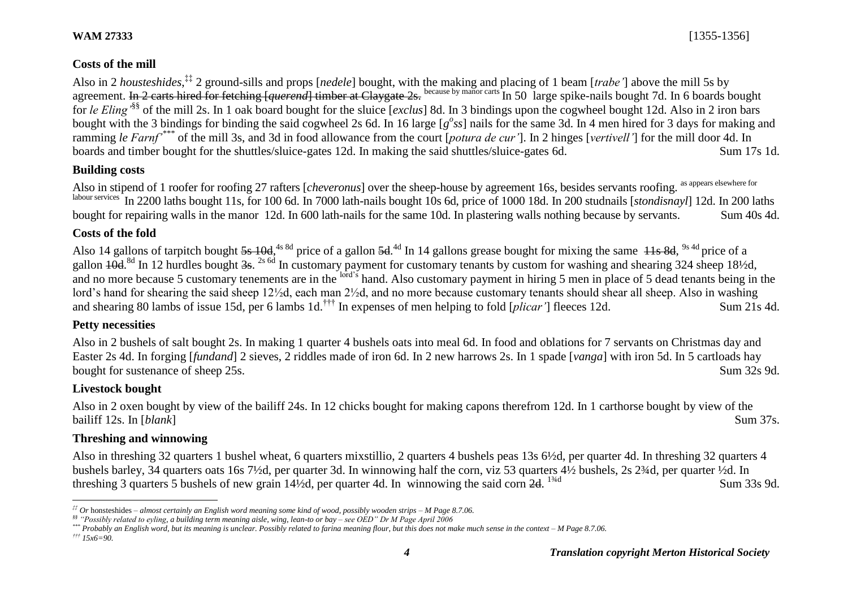Also in 2 *housteshides*, ‡‡ 2 ground-sills and props [*nedele*] bought, with the making and placing of 1 beam [*trabe'*] above the mill 5s by agreement. In 2 carts hired for fetching *[querend]* timber at Claygate 2s. because by manor carts In 50 large spike-nails bought 7d. In 6 boards bought for *le Eling'*§§ of the mill 2s. In 1 oak board bought for the sluice [*exclus*] 8d. In 3 bindings upon the cogwheel bought 12d. Also in 2 iron bars bought with the 3 bindings for binding the said cogwheel 2s 6d. In 16 large [ $g^{\circ}$ ss] nails for the same 3d. In 4 men hired for 3 days for making and ramming *le Farnf'\*\*\** of the mill 3s, and 3d in food allowance from the court [*potura de cur'*]. In 2 hinges [*vertivell'*] for the mill door 4d. In boards and timber bought for the shuttles/sluice-gates 12d. In making the said shuttles/sluice-gates 6d. Sum 17s 1d.

## **Building costs**

Also in stipend of 1 roofer for roofing 27 rafters [*cheveronus*] over the sheep-house by agreement 16s, besides servants roofing. as appears elsewhere for labour services In 2200 laths bought 11s, for 100 6d. In 7000 lath-nails bought 10s 6d, price of 1000 18d. In 200 studnails [*stondisnayl*] 12d. In 200 laths bought for repairing walls in the manor 12d. In 600 lath-nails for the same 10d. In plastering walls nothing because by servants. Sum 40s 4d.

## **Costs of the fold**

Also 14 gallons of tarpitch bought  $5s$  10d,<sup>4s 8d</sup> price of a gallon  $5d$ .<sup>4d</sup> In 14 gallons grease bought for mixing the same  $\frac{11s}{11s}$  8d,  $\frac{9s}{4d}$  price of a gallon 40d.<sup>8d</sup> In 12 hurdles bought 3s. <sup>2s 6d</sup> In customary payment for customary tenants by custom for washing and shearing 324 sheep 181/2d, and no more because 5 customary tenements are in the <sup>lord's</sup> hand. Also customary payment in hiring 5 men in place of 5 dead tenants being in the lord's hand for shearing the said sheep 12½d, each man 2½d, and no more because customary tenants should shear all sheep. Also in washing and shearing 80 lambs of issue 15d, per 6 lambs 1d.††† In expenses of men helping to fold [*plicar'*] fleeces 12d. Sum 21s 4d.

## **Petty necessities**

Also in 2 bushels of salt bought 2s. In making 1 quarter 4 bushels oats into meal 6d. In food and oblations for 7 servants on Christmas day and Easter 2s 4d. In forging [*fundand*] 2 sieves, 2 riddles made of iron 6d. In 2 new harrows 2s. In 1 spade [*vanga*] with iron 5d. In 5 cartloads hay bought for sustenance of sheep 25s. Sum 32s 9d.

## **Livestock bought**

Also in 2 oxen bought by view of the bailiff 24s. In 12 chicks bought for making capons therefrom 12d. In 1 carthorse bought by view of the bailiff 12s. In [*blank*] Sum 37s.

## **Threshing and winnowing**

Also in threshing 32 quarters 1 bushel wheat, 6 quarters mixstillio, 2 quarters 4 bushels peas 13s 6½d, per quarter 4d. In threshing 32 quarters 4 bushels barley, 34 quarters oats 16s 7½d, per quarter 3d. In winnowing half the corn, viz 53 quarters 4½ bushels, 2s 2¾d, per quarter ½d. In threshing 3 quarters 5 bushels of new grain 14½d, per quarter 4d. In winnowing the said corn 2d. <sup>134d</sup> Sum 33s 9d.

l *‡‡ Or* honsteshides *– almost certainly an English word meaning some kind of wood, possibly wooden strips – M Page 8.7.06.*

*<sup>§§</sup> "Possibly related to eyling, a building term meaning aisle, wing, lean-to or bay – see OED" Dr M Page April 2006*

*<sup>\*\*\*</sup> Probably an English word, but its meaning is unclear. Possibly related to farina meaning flour, but this does not make much sense in the context – M Page 8.7.06. ††† 15x6=90.*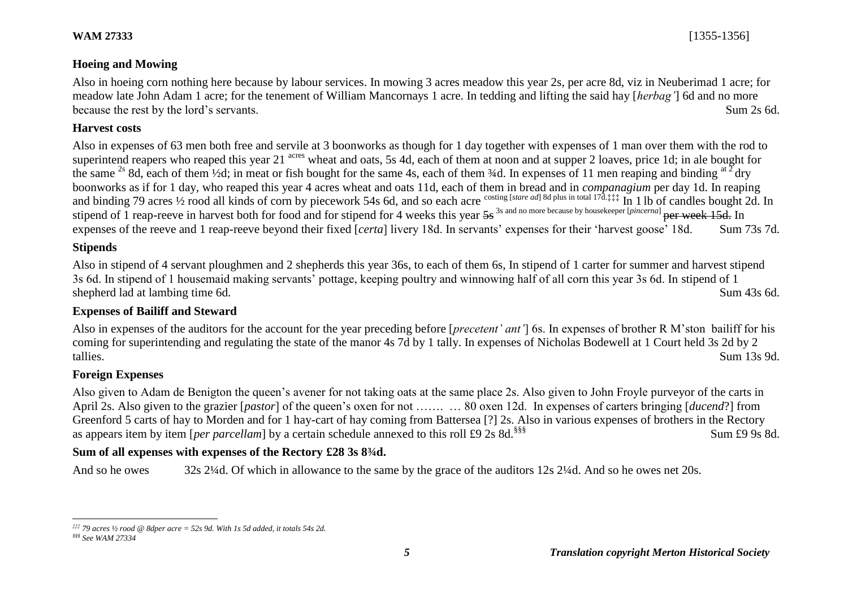### **Hoeing and Mowing**

Also in hoeing corn nothing here because by labour services. In mowing 3 acres meadow this year 2s, per acre 8d, viz in Neuberimad 1 acre; for meadow late John Adam 1 acre; for the tenement of William Mancornays 1 acre. In tedding and lifting the said hay [*herbag'*] 6d and no more because the rest by the lord's servants. Sum 2s 6d.

#### **Harvest costs**

Also in expenses of 63 men both free and servile at 3 boonworks as though for 1 day together with expenses of 1 man over them with the rod to superintend reapers who reaped this year 21 <sup>acres</sup> wheat and oats, 5s 4d, each of them at noon and at supper 2 loaves, price 1d; in ale bought for the same <sup>2s</sup> 8d, each of them <sup>1</sup>/2d; in meat or fish bought for the same 4s, each of them  $\frac{3}{4}$ d. In expenses of 11 men reaping and binding <sup>at 2</sup> dry boonworks as if for 1 day, who reaped this year 4 acres wheat and oats 11d, each of them in bread and in *companagium* per day 1d. In reaping and binding 79 acres <sup>1/2</sup> rood all kinds of corn by piecework 54s 6d, and so each acre costing [*stare ad*] 8d plus in total 17d.‡‡‡ In 1 lb of candles bought 2d. In stipend of 1 reap-reeve in harvest both for food and for stipend for 4 weeks this year 5s<sup>3s and no more because by housekeeper [*pincerna*] per week 15d. In</sup> expenses of the reeve and 1 reap-reeve beyond their fixed [*certa*] livery 18d. In servants' expenses for their 'harvest goose' 18d. Sum 73s 7d.

### **Stipends**

Also in stipend of 4 servant ploughmen and 2 shepherds this year 36s, to each of them 6s, In stipend of 1 carter for summer and harvest stipend 3s 6d. In stipend of 1 housemaid making servants' pottage, keeping poultry and winnowing half of all corn this year 3s 6d. In stipend of 1 shepherd lad at lambing time 6d. Sum 43s 6d.

## **Expenses of Bailiff and Steward**

Also in expenses of the auditors for the account for the year preceding before [*precetent' ant'*] 6s. In expenses of brother R M'ston bailiff for his coming for superintending and regulating the state of the manor 4s 7d by 1 tally. In expenses of Nicholas Bodewell at 1 Court held 3s 2d by 2 tallies. Sum 13s 9d.

### **Foreign Expenses**

Also given to Adam de Benigton the queen's avener for not taking oats at the same place 2s. Also given to John Froyle purveyor of the carts in April 2s. Also given to the grazier [*pastor*] of the queen's oxen for not ……. … 80 oxen 12d. In expenses of carters bringing [*ducend*?] from Greenford 5 carts of hay to Morden and for 1 hay-cart of hay coming from Battersea [?] 2s. Also in various expenses of brothers in the Rectory as appears item by item [*per parcellam*] by a certain schedule annexed to this roll £9 2s 8d.<sup>§§§</sup> Sum for some 19 9s 8d.

## **Sum of all expenses with expenses of the Rectory £28 3s 8¾d.**

And so he owes 32s 2¼d. Of which in allowance to the same by the grace of the auditors 12s 2¼d. And so he owes net 20s.

l *‡‡‡ 79 acres ½ rood @ 8dper acre = 52s 9d. With 1s 5d added, it totals 54s 2d.*

*<sup>§§§</sup> See WAM 27334*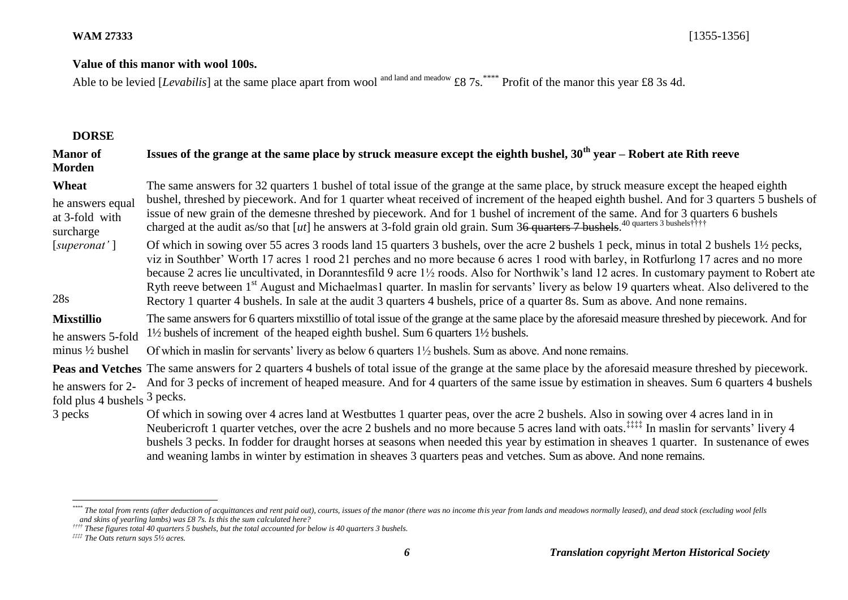### **Value of this manor with wool 100s.**

Able to be levied [*Levabilis*] at the same place apart from wool and land and meadow £8 7s.<sup>\*\*\*\*</sup> Profit of the manor this year £8 3s 4d.

#### **DORSE**

| <b>Manor</b> of<br>Morden                                            | Issues of the grange at the same place by struck measure except the eighth bushel, $30th$ year – Robert ate Rith reeve                                                                                                                                                                                                                                                                                                                                                                                                                                                                                                                                                                                                                           |
|----------------------------------------------------------------------|--------------------------------------------------------------------------------------------------------------------------------------------------------------------------------------------------------------------------------------------------------------------------------------------------------------------------------------------------------------------------------------------------------------------------------------------------------------------------------------------------------------------------------------------------------------------------------------------------------------------------------------------------------------------------------------------------------------------------------------------------|
| Wheat<br>he answers equal<br>at 3-fold with<br>surcharge             | The same answers for 32 quarters 1 bushel of total issue of the grange at the same place, by struck measure except the heaped eighth<br>bushel, threshed by piecework. And for 1 quarter wheat received of increment of the heaped eighth bushel. And for 3 quarters 5 bushels of<br>issue of new grain of the demesne threshed by piecework. And for 1 bushel of increment of the same. And for 3 quarters 6 bushels<br>charged at the audit as/so that $[ut]$ he answers at 3-fold grain old grain. Sum 36 quarters 7 bushels. <sup>40 quarters 3 bushels††††</sup>                                                                                                                                                                            |
| [superonat']<br>28s                                                  | Of which in sowing over 55 acres 3 roods land 15 quarters 3 bushels, over the acre 2 bushels 1 peck, minus in total 2 bushels 1½ pecks,<br>viz in Southber' Worth 17 acres 1 rood 21 perches and no more because 6 acres 1 rood with barley, in Rotfurlong 17 acres and no more<br>because 2 acres lie uncultivated, in Doranntesfild 9 acre 1 <sup>1</sup> / <sub>2</sub> roods. Also for Northwik's land 12 acres. In customary payment to Robert ate<br>Ryth reeve between 1 <sup>st</sup> August and Michaelmas1 quarter. In maslin for servants' livery as below 19 quarters wheat. Also delivered to the<br>Rectory 1 quarter 4 bushels. In sale at the audit 3 quarters 4 bushels, price of a quarter 8s. Sum as above. And none remains. |
| <b>Mixstillio</b><br>he answers 5-fold<br>minus $\frac{1}{2}$ bushel | The same answers for 6 quarters mixstillio of total issue of the grange at the same place by the aforesaid measure threshed by piecework. And for<br>1/2 bushels of increment of the heaped eighth bushel. Sum 6 quarters 1/2 bushels.                                                                                                                                                                                                                                                                                                                                                                                                                                                                                                           |
|                                                                      | Of which in maslin for servants' livery as below 6 quarters $1\frac{1}{2}$ bushels. Sum as above. And none remains.                                                                                                                                                                                                                                                                                                                                                                                                                                                                                                                                                                                                                              |
| he answers for 2-<br>fold plus 4 bushels 3 pecks.<br>3 pecks         | <b>Peas and Vetches</b> The same answers for 2 quarters 4 bushels of total issue of the grange at the same place by the aforesaid measure threshed by piecework.<br>And for 3 pecks of increment of heaped measure. And for 4 quarters of the same issue by estimation in sheaves. Sum 6 quarters 4 bushels                                                                                                                                                                                                                                                                                                                                                                                                                                      |
|                                                                      | Of which in sowing over 4 acres land at Westbuttes 1 quarter peas, over the acre 2 bushels. Also in sowing over 4 acres land in in<br>Neubericroft 1 quarter vetches, over the acre 2 bushels and no more because 5 acres land with oats. <sup>‡‡‡‡</sup> In maslin for servants' livery 4<br>bushels 3 pecks. In fodder for draught horses at seasons when needed this year by estimation in sheaves 1 quarter. In sustenance of ewes                                                                                                                                                                                                                                                                                                           |

and weaning lambs in winter by estimation in sheaves 3 quarters peas and vetches. Sum as above. And none remains.

<sup>\*\*\*\*</sup> The total from rents (after deduction of acquittances and rent paid out), courts, issues of the manor (there was no income this year from lands and meadows normally leased), and dead stock (excluding wool fells *and skins of yearling lambs) was £8 7s. Is this the sum calculated here?*

*<sup>††††</sup> These figures total 40 quarters 5 bushels, but the total accounted for below is 40 quarters 3 bushels.*

*<sup>‡‡‡‡</sup> The Oats return says 5½ acres.*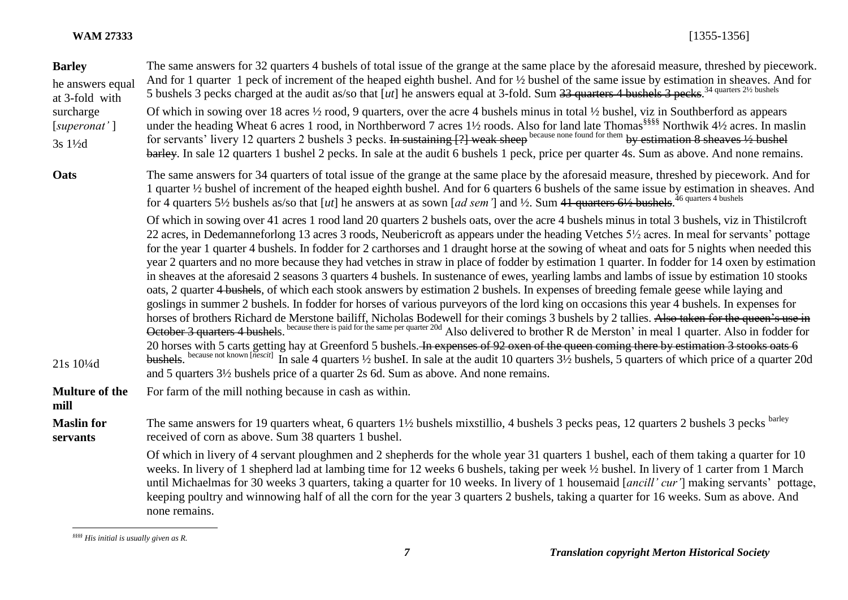| <b>Barley</b><br>he answers equal<br>at 3-fold with | The same answers for 32 quarters 4 bushels of total issue of the grange at the same place by the aforesaid measure, threshed by piecework.<br>And for 1 quarter 1 peck of increment of the heaped eighth bushel. And for 1/2 bushel of the same issue by estimation in sheaves. And for<br>5 bushels 3 pecks charged at the audit as/so that [ut] he answers equal at 3-fold. Sum $33$ quarters 4 bushels 3 pecks. <sup>34 quarters 21/2</sup> bushels                                                                                                                                                                                                                                                                                                                                                                                                                                                                                                                                                                                                                                                                                                                                                                                                                                                                                                                                                                                                                                                                                                                                                                                                                      |
|-----------------------------------------------------|-----------------------------------------------------------------------------------------------------------------------------------------------------------------------------------------------------------------------------------------------------------------------------------------------------------------------------------------------------------------------------------------------------------------------------------------------------------------------------------------------------------------------------------------------------------------------------------------------------------------------------------------------------------------------------------------------------------------------------------------------------------------------------------------------------------------------------------------------------------------------------------------------------------------------------------------------------------------------------------------------------------------------------------------------------------------------------------------------------------------------------------------------------------------------------------------------------------------------------------------------------------------------------------------------------------------------------------------------------------------------------------------------------------------------------------------------------------------------------------------------------------------------------------------------------------------------------------------------------------------------------------------------------------------------------|
| surcharge<br>[superonat']<br>3s 11/2d               | Of which in sowing over 18 acres 1/2 rood, 9 quarters, over the acre 4 bushels minus in total 1/2 bushel, viz in Southberford as appears<br>under the heading Wheat 6 acres 1 rood, in Northberword 7 acres 11/2 roods. Also for land late Thomas <sup>§§§§§</sup> Northwik 41/2 acres. In maslin<br>for servants' livery 12 quarters 2 bushels 3 pecks. In sustaining [?] weak sheep because none found for them by estimation 8 sheaves 1/2 bushel<br>barley. In sale 12 quarters 1 bushel 2 pecks. In sale at the audit 6 bushels 1 peck, price per quarter 4s. Sum as above. And none remains.                                                                                                                                                                                                                                                                                                                                                                                                                                                                                                                                                                                                                                                                                                                                                                                                                                                                                                                                                                                                                                                                          |
| Oats                                                | The same answers for 34 quarters of total issue of the grange at the same place by the aforesaid measure, threshed by piecework. And for<br>1 quarter 1/2 bushel of increment of the heaped eighth bushel. And for 6 quarters 6 bushels of the same issue by estimation in sheaves. And<br>for 4 quarters 5½ bushels as/so that [ut] he answers at as sown [ad sem <sup>7</sup> ] and ½. Sum 41 quarters 6½ bushels. <sup>46 quarters 4 bushels</sup>                                                                                                                                                                                                                                                                                                                                                                                                                                                                                                                                                                                                                                                                                                                                                                                                                                                                                                                                                                                                                                                                                                                                                                                                                       |
| 21s 10 <sup>1</sup> / <sub>4</sub> d                | Of which in sowing over 41 acres 1 rood land 20 quarters 2 bushels oats, over the acre 4 bushels minus in total 3 bushels, viz in Thistilcroft<br>22 acres, in Dedemanneforlong 13 acres 3 roods, Neubericroft as appears under the heading Vetches 5½ acres. In meal for servants' pottage<br>for the year 1 quarter 4 bushels. In fodder for 2 carthorses and 1 draught horse at the sowing of wheat and oats for 5 nights when needed this<br>year 2 quarters and no more because they had vetches in straw in place of fodder by estimation 1 quarter. In fodder for 14 oxen by estimation<br>in sheaves at the aforesaid 2 seasons 3 quarters 4 bushels. In sustenance of ewes, yearling lambs and lambs of issue by estimation 10 stooks<br>oats, 2 quarter 4 bushels, of which each stook answers by estimation 2 bushels. In expenses of breeding female geese while laying and<br>goslings in summer 2 bushels. In fodder for horses of various purveyors of the lord king on occasions this year 4 bushels. In expenses for<br>horses of brothers Richard de Merstone bailiff, Nicholas Bodewell for their comings 3 bushels by 2 tallies. Also taken for the queen's use in October 3 quarters 4 bushels. because there is paid for the same per quarter 20d<br>20 horses with 5 carts getting hay at Greenford 5 bushels. In expenses of 92 oxen of the queen coming there by estimation 3 stooks oats 6<br>bushels. because not known [nescit] In sale 4 quarters 1/2 bushel. In sale at the audit 10 quarters 31/2 bushels, 5 quarters of which price of a quarter 20d<br>and 5 quarters 3½ bushels price of a quarter 2s 6d. Sum as above. And none remains. |
| <b>Multure of the</b><br>mill                       | For farm of the mill nothing because in cash as within.                                                                                                                                                                                                                                                                                                                                                                                                                                                                                                                                                                                                                                                                                                                                                                                                                                                                                                                                                                                                                                                                                                                                                                                                                                                                                                                                                                                                                                                                                                                                                                                                                     |
| <b>Maslin</b> for<br>servants                       | The same answers for 19 quarters wheat, 6 quarters 1 <sup>1</sup> / <sub>2</sub> bushels mixstillio, 4 bushels 3 pecks peas, 12 quarters 2 bushels 3 pecks <sup>barley</sup><br>received of corn as above. Sum 38 quarters 1 bushel.                                                                                                                                                                                                                                                                                                                                                                                                                                                                                                                                                                                                                                                                                                                                                                                                                                                                                                                                                                                                                                                                                                                                                                                                                                                                                                                                                                                                                                        |
|                                                     | Of which in livery of 4 servant ploughmen and 2 shepherds for the whole year 31 quarters 1 bushel, each of them taking a quarter for 10<br>weeks. In livery of 1 shepherd lad at lambing time for 12 weeks 6 bushels, taking per week 1/2 bushel. In livery of 1 carter from 1 March<br>until Michaelmas for 30 weeks 3 quarters, taking a quarter for 10 weeks. In livery of 1 housemaid [ancill' cur'] making servants' pottage,<br>keeping poultry and winnowing half of all the corn for the year 3 quarters 2 bushels, taking a quarter for 16 weeks. Sum as above. And<br>none remains.                                                                                                                                                                                                                                                                                                                                                                                                                                                                                                                                                                                                                                                                                                                                                                                                                                                                                                                                                                                                                                                                               |

 $\overline{a}$ *§§§§ His initial is usually given as R.*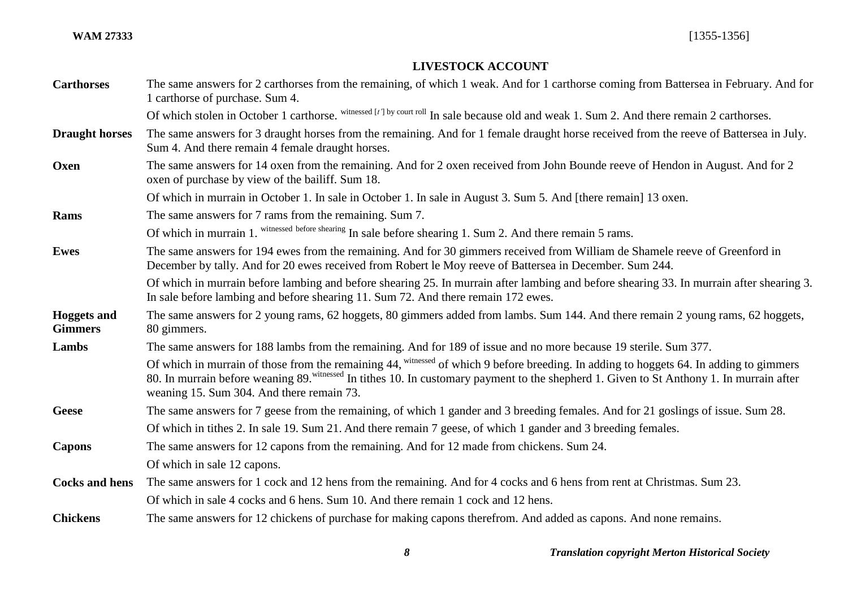# **LIVESTOCK ACCOUNT**

| <b>Carthorses</b>                    | The same answers for 2 carthorses from the remaining, of which 1 weak. And for 1 carthorse coming from Battersea in February. And for<br>1 carthorse of purchase. Sum 4.                                                                                                                                                          |
|--------------------------------------|-----------------------------------------------------------------------------------------------------------------------------------------------------------------------------------------------------------------------------------------------------------------------------------------------------------------------------------|
|                                      | Of which stolen in October 1 carthorse. Witnessed [t'] by court roll In sale because old and weak 1. Sum 2. And there remain 2 carthorses.                                                                                                                                                                                        |
| <b>Draught horses</b>                | The same answers for 3 draught horses from the remaining. And for 1 female draught horse received from the reeve of Battersea in July.<br>Sum 4. And there remain 4 female draught horses.                                                                                                                                        |
| Oxen                                 | The same answers for 14 oxen from the remaining. And for 2 oxen received from John Bounde reeve of Hendon in August. And for 2<br>oxen of purchase by view of the bailiff. Sum 18.                                                                                                                                                |
|                                      | Of which in murrain in October 1. In sale in October 1. In sale in August 3. Sum 5. And [there remain] 13 oxen.                                                                                                                                                                                                                   |
| Rams                                 | The same answers for 7 rams from the remaining. Sum 7.                                                                                                                                                                                                                                                                            |
|                                      | Of which in murrain 1. witnessed before shearing In sale before shearing 1. Sum 2. And there remain 5 rams.                                                                                                                                                                                                                       |
| <b>Ewes</b>                          | The same answers for 194 ewes from the remaining. And for 30 gimmers received from William de Shamele reeve of Greenford in<br>December by tally. And for 20 ewes received from Robert le Moy reeve of Battersea in December. Sum 244.                                                                                            |
|                                      | Of which in murrain before lambing and before shearing 25. In murrain after lambing and before shearing 33. In murrain after shearing 3.<br>In sale before lambing and before shearing 11. Sum 72. And there remain 172 ewes.                                                                                                     |
| <b>Hoggets and</b><br><b>Gimmers</b> | The same answers for 2 young rams, 62 hoggets, 80 gimmers added from lambs. Sum 144. And there remain 2 young rams, 62 hoggets,<br>80 gimmers.                                                                                                                                                                                    |
| Lambs                                | The same answers for 188 lambs from the remaining. And for 189 of issue and no more because 19 sterile. Sum 377.                                                                                                                                                                                                                  |
|                                      | Of which in murrain of those from the remaining 44, witnessed of which 9 before breeding. In adding to hoggets 64. In adding to gimmers<br>80. In murrain before weaning 89. witnessed In tithes 10. In customary payment to the shepherd 1. Given to St Anthony 1. In murrain after<br>weaning 15. Sum 304. And there remain 73. |
| <b>Geese</b>                         | The same answers for 7 geese from the remaining, of which 1 gander and 3 breeding females. And for 21 goslings of issue. Sum 28.                                                                                                                                                                                                  |
|                                      | Of which in tithes 2. In sale 19. Sum 21. And there remain 7 geese, of which 1 gander and 3 breeding females.                                                                                                                                                                                                                     |
| <b>Capons</b>                        | The same answers for 12 capons from the remaining. And for 12 made from chickens. Sum 24.                                                                                                                                                                                                                                         |
|                                      | Of which in sale 12 capons.                                                                                                                                                                                                                                                                                                       |
| <b>Cocks and hens</b>                | The same answers for 1 cock and 12 hens from the remaining. And for 4 cocks and 6 hens from rent at Christmas. Sum 23.                                                                                                                                                                                                            |
|                                      | Of which in sale 4 cocks and 6 hens. Sum 10. And there remain 1 cock and 12 hens.                                                                                                                                                                                                                                                 |
| <b>Chickens</b>                      | The same answers for 12 chickens of purchase for making capons therefrom. And added as capons. And none remains.                                                                                                                                                                                                                  |
|                                      |                                                                                                                                                                                                                                                                                                                                   |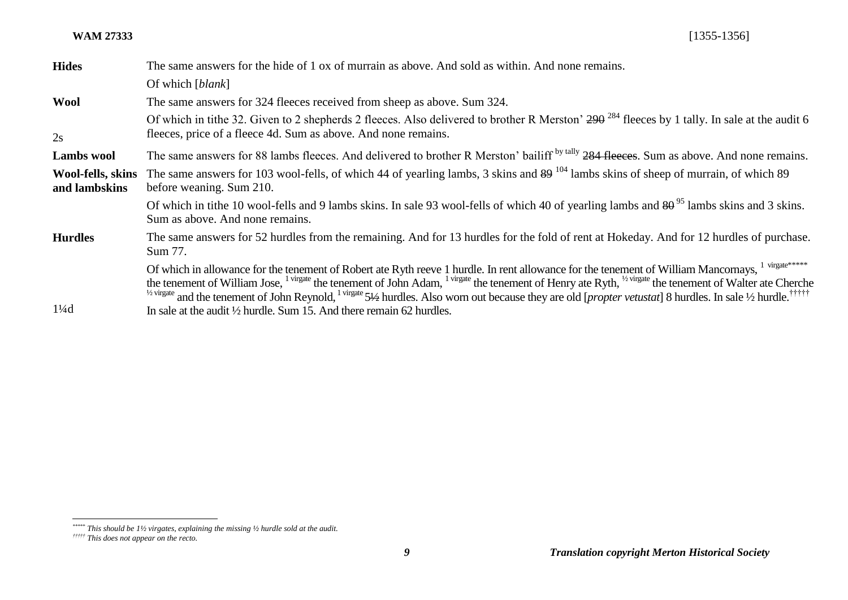| <b>Hides</b>                       | The same answers for the hide of 1 ox of murrain as above. And sold as within. And none remains.                                                                                                                                                                                                                                                                                                                                                                                                                                                                              |
|------------------------------------|-------------------------------------------------------------------------------------------------------------------------------------------------------------------------------------------------------------------------------------------------------------------------------------------------------------------------------------------------------------------------------------------------------------------------------------------------------------------------------------------------------------------------------------------------------------------------------|
|                                    | Of which [ <i>blank</i> ]                                                                                                                                                                                                                                                                                                                                                                                                                                                                                                                                                     |
| <b>Wool</b>                        | The same answers for 324 fleeces received from sheep as above. Sum 324.                                                                                                                                                                                                                                                                                                                                                                                                                                                                                                       |
| 2s                                 | Of which in tithe 32. Given to 2 shepherds 2 fleeces. Also delivered to brother R Merston' 290 <sup>284</sup> fleeces by 1 tally. In sale at the audit 6<br>fleeces, price of a fleece 4d. Sum as above. And none remains.                                                                                                                                                                                                                                                                                                                                                    |
| <b>Lambs</b> wool                  | The same answers for 88 lambs fleeces. And delivered to brother R Merston' bailiff <sup>by tally</sup> 284 fleeces. Sum as above. And none remains.                                                                                                                                                                                                                                                                                                                                                                                                                           |
| Wool-fells, skins<br>and lambskins | The same answers for 103 wool-fells, of which 44 of yearling lambs, 3 skins and $89^{104}$ lambs skins of sheep of murrain, of which 89<br>before weaning. Sum 210.                                                                                                                                                                                                                                                                                                                                                                                                           |
|                                    | Of which in tithe 10 wool-fells and 9 lambs skins. In sale 93 wool-fells of which 40 of yearling lambs and $80^{\frac{95}{5}}$ lambs skins and 3 skins.<br>Sum as above. And none remains.                                                                                                                                                                                                                                                                                                                                                                                    |
| <b>Hurdles</b>                     | The same answers for 52 hurdles from the remaining. And for 13 hurdles for the fold of rent at Hokeday. And for 12 hurdles of purchase.<br>Sum 77.                                                                                                                                                                                                                                                                                                                                                                                                                            |
|                                    | Of which in allowance for the tenement of Robert ate Ryth reeve 1 hurdle. In rent allowance for the tenement of William Mancornays, 1 virgate*****<br>the tenement of William Jose, <sup>1 virgate</sup> the tenement of John Adam, <sup>1 virgate</sup> the tenement of Henry ate Ryth, <sup>1/2</sup> virgate the tenement of Walter ate Cherche<br><sup>1/2 virgate</sup> and the tenement of John Reynold, <sup>1 virgate</sup> 51/2 hurdles. Also worn out because they are old [ <i>propter vetustat</i> ] 8 hurdles. In sale <sup>1</sup> /2 hurdle. <sup>††††††</sup> |
| $1\frac{1}{4}$ d                   | In sale at the audit $\frac{1}{2}$ hurdle. Sum 15. And there remain 62 hurdles.                                                                                                                                                                                                                                                                                                                                                                                                                                                                                               |

*<sup>\*\*\*\*\*</sup> This should be 1½ virgates, explaining the missing ½ hurdle sold at the audit.*

*<sup>†††††</sup> This does not appear on the recto.*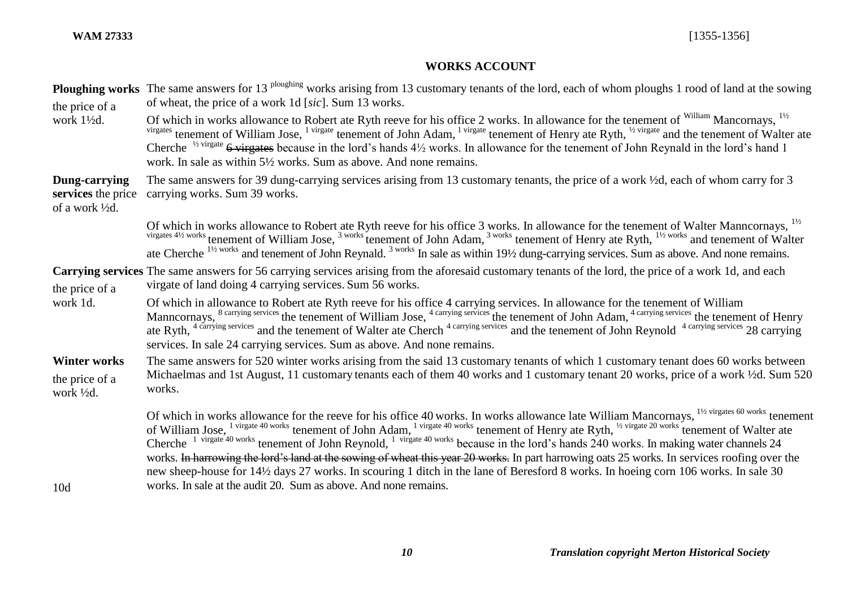# **WORKS ACCOUNT**

| the price of a                                                                  | <b>Ploughing works</b> The same answers for 13 <sup>ploughing</sup> works arising from 13 customary tenants of the lord, each of whom ploughs 1 rood of land at the sowing<br>of wheat, the price of a work 1d [sic]. Sum 13 works.                                                                                                                                                                                                                                                                                                                                                                             |
|---------------------------------------------------------------------------------|-----------------------------------------------------------------------------------------------------------------------------------------------------------------------------------------------------------------------------------------------------------------------------------------------------------------------------------------------------------------------------------------------------------------------------------------------------------------------------------------------------------------------------------------------------------------------------------------------------------------|
| work 1½d.                                                                       | Of which in works allowance to Robert ate Ryth reeve for his office 2 works. In allowance for the tenement of <sup>William</sup> Mancornays, <sup>11/2</sup><br>virgates tenement of William Jose, <sup>1 virgate</sup> tenement of John Adam, <sup>1 virgate</sup> tenement of Henry ate Ryth, <sup>1/2</sup> virgate and the tenement of Walter ate<br>Cherche <sup>1/2 virgate</sup> 6 virgates because in the lord's hands $4\frac{1}{2}$ works. In allowance for the tenement of John Reynald in the lord's hand 1<br>work. In sale as within 5½ works. Sum as above. And none remains.                    |
| Dung-carrying<br>services the price<br>of a work <sup>1</sup> / <sub>2</sub> d. | The same answers for 39 dung-carrying services arising from 13 customary tenants, the price of a work 1/2d, each of whom carry for 3<br>carrying works. Sum 39 works.                                                                                                                                                                                                                                                                                                                                                                                                                                           |
|                                                                                 | Of which in works allowance to Robert ate Ryth reeve for his office 3 works. In allowance for the tenement of Walter Manncornays, <sup>1/2</sup><br>virgates 41/2 works tenement of William Jose, <sup>3 works</sup> tenement of John Adam, <sup>3 works</sup> tenement of Henry ate Ryth, <sup>11/2 works</sup> and tenement of Walter<br>ate Cherche $^{1\frac{1}{2}$ works and tenement of John Reynald. <sup>3 works</sup> In sale as within 19½ dung-carrying services. Sum as above. And none remains.                                                                                                    |
| the price of a<br>work 1d.                                                      | Carrying services The same answers for 56 carrying services arising from the aforesaid customary tenants of the lord, the price of a work 1d, and each<br>virgate of land doing 4 carrying services. Sum 56 works.                                                                                                                                                                                                                                                                                                                                                                                              |
|                                                                                 | Of which in allowance to Robert ate Ryth reeve for his office 4 carrying services. In allowance for the tenement of William<br>Manncornays, <sup>8 carrying services</sup> the tenement of William Jose, <sup>4 carrying services</sup> the tenement of John Adam, <sup>4 carrying services</sup> the tenement of Henry ate Ryth, <sup>4 carrying services</sup> and the tenement of Walter ate C<br>services. In sale 24 carrying services. Sum as above. And none remains.                                                                                                                                    |
| <b>Winter works</b><br>the price of a<br>work ½d.                               | The same answers for 520 winter works arising from the said 13 customary tenants of which 1 customary tenant does 60 works between<br>Michaelmas and 1st August, 11 customary tenants each of them 40 works and 1 customary tenant 20 works, price of a work 1/2d. Sum 520<br>works.                                                                                                                                                                                                                                                                                                                            |
| 10d                                                                             | Of which in works allowance for the reeve for his office 40 works. In works allowance late William Mancornays, <sup>11/2</sup> virgates 60 works tenement of William Jose, <sup>1 virgate 40 works</sup> tenement of John Adam, <sup>1</sup> virgate 40<br>works. In harrowing the lord's land at the sowing of wheat this year 20 works. In part harrowing oats 25 works. In services roofing over the<br>new sheep-house for 14½ days 27 works. In scouring 1 ditch in the lane of Beresford 8 works. In hoeing corn 106 works. In sale 30<br>works. In sale at the audit 20. Sum as above. And none remains. |